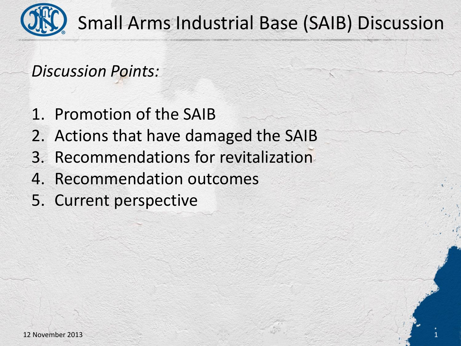

Small Arms Industrial Base (SAIB) Discussion

1

*Discussion Points:*

- 1. Promotion of the SAIB
- 2. Actions that have damaged the SAIB
- 3. Recommendations for revitalization
- 4. Recommendation outcomes
- 5. Current perspective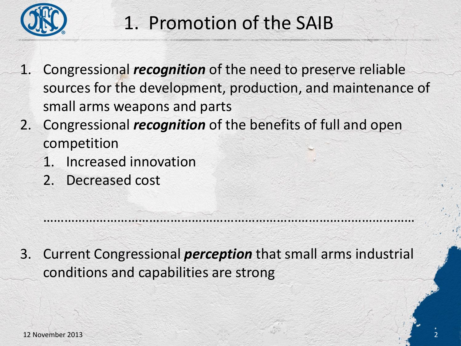

#### 1. Promotion of the SAIB

- 1. Congressional *recognition* of the need to preserve reliable sources for the development, production, and maintenance of small arms weapons and parts
- 2. Congressional *recognition* of the benefits of full and open competition
	- 1. Increased innovation
	- 2. Decreased cost

3. Current Congressional *perception* that small arms industrial conditions and capabilities are strong

……………………………………………………………………………………………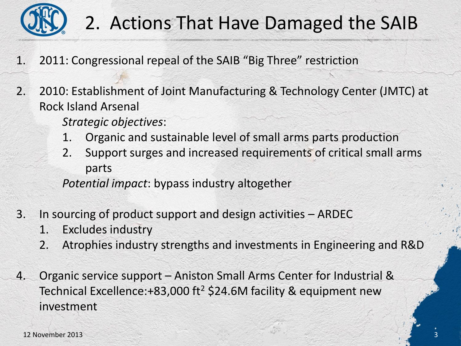

## 2. Actions That Have Damaged the SAIB

- 1. 2011: Congressional repeal of the SAIB "Big Three" restriction
- 2. 2010: Establishment of Joint Manufacturing & Technology Center (JMTC) at Rock Island Arsenal
	- *Strategic objectives*:
	- 1. Organic and sustainable level of small arms parts production
	- 2. Support surges and increased requirements of critical small arms parts

*Potential impact*: bypass industry altogether

- 3. In sourcing of product support and design activities ARDEC
	- 1. Excludes industry
	- 2. Atrophies industry strengths and investments in Engineering and R&D
- 4. Organic service support Aniston Small Arms Center for Industrial & Technical Excellence: + 83,000 ft<sup>2</sup> \$24.6M facility & equipment new investment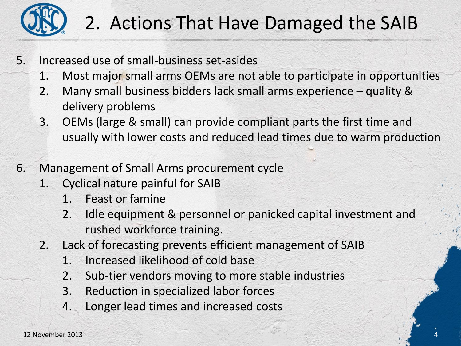

## 2. Actions That Have Damaged the SAIB

- 5. Increased use of small-business set-asides
	- 1. Most major small arms OEMs are not able to participate in opportunities
	- 2. Many small business bidders lack small arms experience quality & delivery problems
	- 3. OEMs (large & small) can provide compliant parts the first time and usually with lower costs and reduced lead times due to warm production
- 6. Management of Small Arms procurement cycle
	- 1. Cyclical nature painful for SAIB
		- 1. Feast or famine
		- 2. Idle equipment & personnel or panicked capital investment and rushed workforce training.

4

- 2. Lack of forecasting prevents efficient management of SAIB
	- 1. Increased likelihood of cold base
	- 2. Sub-tier vendors moving to more stable industries
	- 3. Reduction in specialized labor forces
	- 4. Longer lead times and increased costs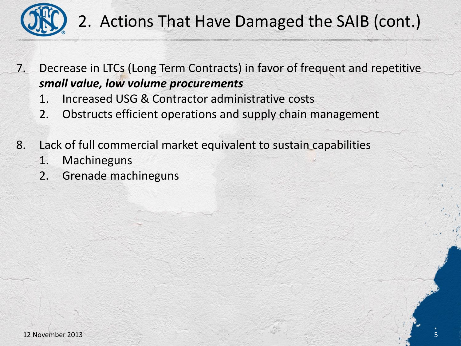

#### 2. Actions That Have Damaged the SAIB (cont.)

7. Decrease in LTCs (Long Term Contracts) in favor of frequent and repetitive *small value, low volume procurements*

- 1. Increased USG & Contractor administrative costs
- 2. Obstructs efficient operations and supply chain management
- 8. Lack of full commercial market equivalent to sustain capabilities
	- 1. Machineguns
	- 2. Grenade machineguns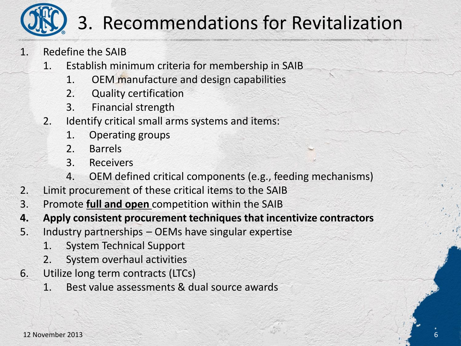

## 3. Recommendations for Revitalization

- 1. Redefine the SAIB
	- 1. Establish minimum criteria for membership in SAIB
		- 1. OEM manufacture and design capabilities
		- 2. Quality certification
		- 3. Financial strength
	- 2. Identify critical small arms systems and items:
		- 1. Operating groups
		- 2. Barrels
		- 3. Receivers
		- 4. OEM defined critical components (e.g., feeding mechanisms)
- 2. Limit procurement of these critical items to the SAIB
- 3. Promote **full and open** competition within the SAIB
- **4. Apply consistent procurement techniques that incentivize contractors**
- 5. Industry partnerships OEMs have singular expertise
	- 1. System Technical Support
	- 2. System overhaul activities
- 6. Utilize long term contracts (LTCs)
	- 1. Best value assessments & dual source awards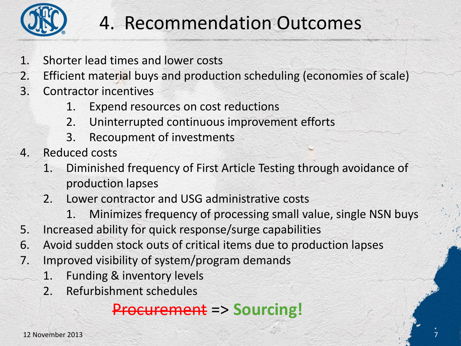

## 4. Recommendation Outcomes

- 1. Shorter lead times and lower costs
- 2. Efficient material buys and production scheduling (economies of scale)
- 3. Contractor incentives
	- 1. Expend resources on cost reductions
	- 2. Uninterrupted continuous improvement efforts
	- 3. Recoupment of investments
- 4. Reduced costs
	- 1. Diminished frequency of First Article Testing through avoidance of production lapses
	- 2. Lower contractor and USG administrative costs
		- 1. Minimizes frequency of processing small value, single NSN buys

7

- 5. Increased ability for quick response/surge capabilities
- 6. Avoid sudden stock outs of critical items due to production lapses
- 7. Improved visibility of system/program demands
	- 1. Funding & inventory levels
	- 2. Refurbishment schedules

#### Procurement => **Sourcing!**